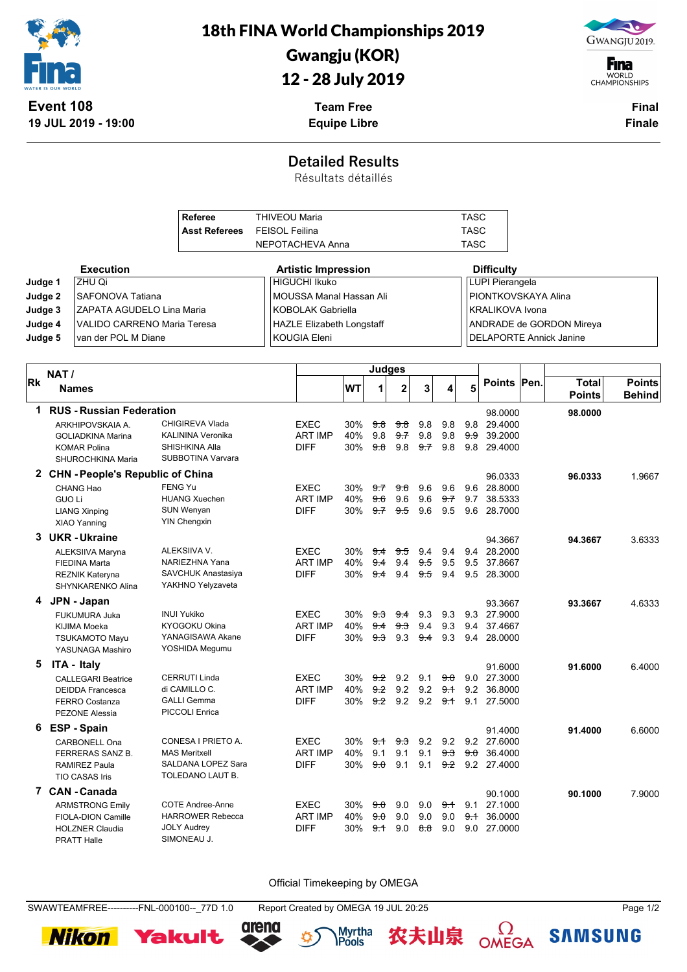

18th FINA World Championships 2019

## Gwangju (KOR)

## 12 - 28 July 2019

**Team Free Equipe Libre**



**F**ina WORLD<br>CHAMPIONSHIPS

> **Final Finale**

## **Detailed Results**

Résultats détaillés

|           |               |                                                | <b>Referee</b>                         | <b>THIVEOU Maria</b>  |                                  |            |                    |               |                       |                | <b>TASC</b> |                                         |                                |               |
|-----------|---------------|------------------------------------------------|----------------------------------------|-----------------------|----------------------------------|------------|--------------------|---------------|-----------------------|----------------|-------------|-----------------------------------------|--------------------------------|---------------|
|           |               |                                                | <b>Asst Referees</b>                   | <b>FEISOL Feilina</b> |                                  |            |                    |               |                       |                | <b>TASC</b> |                                         |                                |               |
|           |               |                                                |                                        |                       | NEPOTACHEVA Anna                 |            |                    |               |                       |                | <b>TASC</b> |                                         |                                |               |
|           |               | <b>Execution</b>                               |                                        |                       | <b>Artistic Impression</b>       |            |                    |               |                       |                |             | <b>Difficulty</b>                       |                                |               |
| Judge 1   |               | ZHU Qi                                         |                                        |                       | <b>HIGUCHI Ikuko</b>             |            |                    |               |                       |                |             | <b>LUPI Pierangela</b>                  |                                |               |
|           | Judge 2       | SAFONOVA Tatiana                               |                                        |                       | MOUSSA Manal Hassan Ali          |            |                    |               |                       |                |             | PIONTKOVSKAYA Alina                     |                                |               |
|           | Judge 3       | ZAPATA AGUDELO Lina Maria                      |                                        |                       | <b>KOBOLAK Gabriella</b>         |            |                    |               |                       |                |             | <b>KRALIKOVA Ivona</b>                  |                                |               |
|           | Judge 4       | VALIDO CARRENO Maria Teresa                    |                                        |                       | <b>HAZLE Elizabeth Longstaff</b> |            |                    |               |                       |                |             |                                         | ANDRADE de GORDON Mireya       |               |
|           | Judge 5       | van der POL M Diane                            |                                        |                       | <b>KOUGIA Eleni</b>              |            |                    |               |                       |                |             |                                         | <b>DELAPORTE Annick Janine</b> |               |
|           |               |                                                |                                        |                       |                                  |            | <b>Judges</b>      |               |                       |                |             |                                         |                                |               |
| <b>Rk</b> | NAT/          | <b>Names</b>                                   |                                        |                       |                                  | <b>WT</b>  | 1                  | $\mathbf 2$   | 3                     |                | 5           | Points Pen.                             | <b>Total</b>                   | <b>Points</b> |
|           |               |                                                |                                        |                       |                                  |            |                    |               |                       |                |             |                                         | <b>Points</b>                  | <b>Behind</b> |
| 1         |               | <b>RUS - Russian Federation</b>                |                                        |                       |                                  |            |                    |               |                       |                |             | 98.0000                                 | 98.0000                        |               |
|           |               | ARKHIPOVSKAIA A.                               | <b>CHIGIREVA Vlada</b>                 |                       | <b>EXEC</b>                      | 30%        | <del>9.8</del>     | <del>98</del> | 9.8                   | 9.8            |             | 9.8 29.4000                             |                                |               |
|           |               | <b>GOLIADKINA Marina</b>                       | KALININA Veronika<br>SHISHKINA Alla    |                       | <b>ART IMP</b><br><b>DIFF</b>    | 40%<br>30% | 9.8<br>9.8         | 9.7<br>9.8    | 9.8                   | 9.8            | 9.9<br>9.8  | 39.2000<br>29.4000                      |                                |               |
|           |               | <b>KOMAR Polina</b><br>SHUROCHKINA Maria       | <b>SUBBOTINA Varvara</b>               |                       |                                  |            |                    |               | 97                    | 9.8            |             |                                         |                                |               |
|           |               | 2 CHN - People's Republic of China             |                                        |                       |                                  |            |                    |               |                       |                |             | 96.0333                                 | 96.0333                        | 1.9667        |
|           |               | CHANG Hao                                      | <b>FENG Yu</b>                         |                       | <b>EXEC</b>                      | 30%        | 9.7                | 9.6           | 9.6                   | 9.6            |             | 9.6 28.8000                             |                                |               |
|           | <b>GUO Li</b> |                                                | <b>HUANG Xuechen</b>                   |                       | <b>ART IMP</b>                   | 40%        | 9.6                | 9.6           | 9.6                   | 97             | 9.7         | 38.5333                                 |                                |               |
|           |               | <b>LIANG Xinping</b>                           | <b>SUN Wenyan</b>                      |                       | <b>DIFF</b>                      | 30%        | 9.7                | 9.5           | 9.6                   | 9.5            |             | 9.6 28.7000                             |                                |               |
|           |               | XIAO Yanning                                   | <b>YIN Chengxin</b>                    |                       |                                  |            |                    |               |                       |                |             |                                         |                                |               |
|           |               | 3 UKR-Ukraine                                  |                                        |                       |                                  |            |                    |               |                       |                |             | 94.3667                                 | 94.3667                        | 3.6333        |
|           |               | ALEKSIIVA Maryna                               | ALEKSIIVA V.<br>NARIEZHNA Yana         |                       | <b>EXEC</b><br><b>ART IMP</b>    | 30%<br>40% | 9.4<br>9.4         | 9.5<br>9.4    | 9.4<br><del>9.5</del> | 9.4<br>9.5     |             | 9.4 28.2000<br>9.5 37.8667              |                                |               |
|           |               | <b>FIEDINA Marta</b><br><b>REZNIK Kateryna</b> | SAVCHUK Anastasiya                     |                       | <b>DIFF</b>                      | 30%        | 9.4                | 9.4           | $9-5$                 | 9.4            |             | 9.5 28.3000                             |                                |               |
|           |               | SHYNKARENKO Alina                              | YAKHNO Yelyzaveta                      |                       |                                  |            |                    |               |                       |                |             |                                         |                                |               |
|           |               | 4 JPN - Japan                                  |                                        |                       |                                  |            |                    |               |                       |                |             | 93.3667                                 | 93.3667                        | 4.6333        |
|           |               | <b>FUKUMURA Juka</b>                           | <b>INUI Yukiko</b>                     |                       | <b>EXEC</b>                      | 30%        | <del>9.3</del>     | 9.4           | 9.3                   | 9.3            |             | 9.3 27.9000                             |                                |               |
|           |               | KIJIMA Moeka                                   | <b>KYOGOKU Okina</b>                   |                       | <b>ART IMP</b>                   | 40%        | 9.4                | 9.3           | 9.4                   | 9.3            |             | 9.4 37.4667                             |                                |               |
|           |               | <b>TSUKAMOTO Mayu</b><br>YASUNAGA Mashiro      | YANAGISAWA Akane<br>YOSHIDA Megumu     |                       | <b>DIFF</b>                      | 30%        | 9.3                | 9.3           | 9.4                   | 9.3            |             | 9.4 28,0000                             |                                |               |
| 5         |               | ITA - Italy                                    |                                        |                       |                                  |            |                    |               |                       |                |             | 91.6000                                 | 91.6000                        | 6.4000        |
|           |               | <b>CALLEGARI Beatrice</b>                      | <b>CERRUTI Linda</b>                   |                       | <b>EXEC</b>                      | 30%        |                    | $9.2$ 9.2 9.1 |                       | <del>9.0</del> |             | 9.0 27.3000                             |                                |               |
|           |               | <b>DEIDDA Francesca</b>                        | di CAMILLO C.                          |                       | <b>ART IMP</b>                   | 40%        | 9.2                | 9.2           | 9.2                   | 9.1            | 9.2         | 36.8000                                 |                                |               |
|           |               | <b>FERRO Costanza</b>                          | <b>GALLI Gemma</b>                     |                       | <b>DIFF</b>                      | 30%        | 9.2                | 9.2           |                       | $9.2$ $9.1$    |             | 9.1 27.5000                             |                                |               |
|           |               | <b>PEZONE Alessia</b>                          | PICCOLI Enrica                         |                       |                                  |            |                    |               |                       |                |             |                                         |                                |               |
|           |               | 6 ESP - Spain                                  |                                        |                       |                                  |            |                    |               |                       |                |             | 91.4000                                 | 91.4000                        | 6.6000        |
|           |               | CARBONELL Ona                                  | CONESA I PRIETO A.                     |                       | <b>EXEC</b>                      | 30%        |                    |               |                       |                |             | $9.1$ $9.3$ $9.2$ $9.2$ $9.2$ $27.6000$ |                                |               |
|           |               | FERRERAS SANZ B.                               | <b>MAS Meritxell</b>                   |                       | <b>ART IMP</b>                   | 40%        | 9.1                | 9.1           | 9.1                   | <del>9.3</del> |             | $9.0$ 36.4000                           |                                |               |
|           |               | RAMIREZ Paula<br>TIO CASAS Iris                | SALDANA LOPEZ Sara<br>TOLEDANO LAUT B. |                       | DIFF                             |            |                    |               |                       |                |             | 30% 9.0 9.1 9.1 9.2 9.2 27.4000         |                                |               |
|           |               | 7 CAN - Canada                                 |                                        |                       |                                  |            |                    |               |                       |                |             | 90.1000                                 | 90.1000                        | 7.9000        |
|           |               | <b>ARMSTRONG Emily</b>                         | <b>COTE Andree-Anne</b>                |                       | <b>EXEC</b>                      |            | $30\%$ $9.0$ $9.0$ |               | 9.0                   | <del>9.1</del> |             | 9.1 27.1000                             |                                |               |
|           |               | FIOLA-DION Camille                             | <b>HARROWER Rebecca</b>                |                       | <b>ART IMP</b>                   |            |                    |               |                       |                |             | 40% 9.0 9.0 9.0 9.0 9.1 36.0000         |                                |               |
|           |               | <b>HOLZNER Claudia</b>                         | <b>JOLY Audrey</b>                     |                       | <b>DIFF</b>                      | 30%        |                    |               |                       |                |             | $9.1$ 9.0 $8.8$ 9.0 9.0 27.0000         |                                |               |

Official Timekeeping by OMEGA

SWAWTEAMFREE----------FNL-000100--\_77D 1.0 Report Created by OMEGA 19 JUL 20:25 Page 1/2

Yakult

**Nikon** 

PRATT Halle SIMONEAU J.